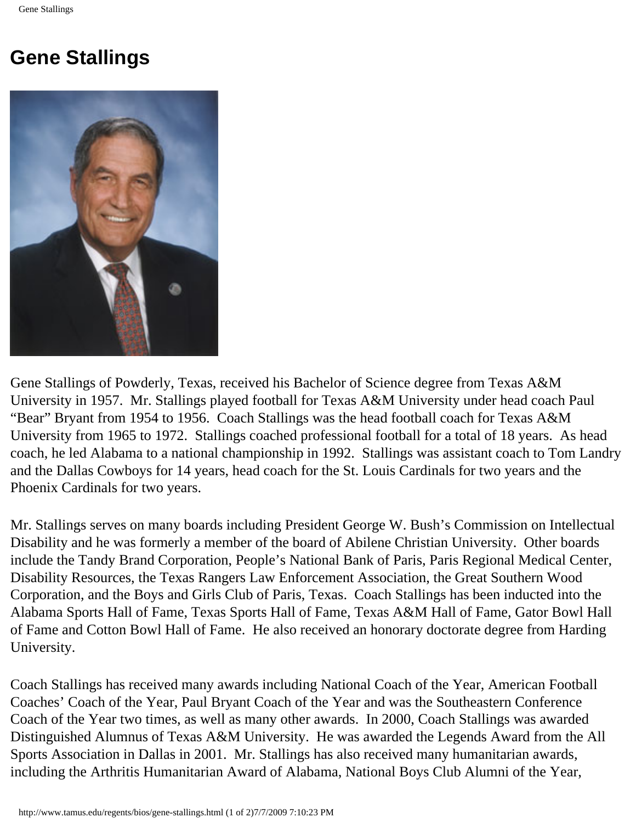## **Gene Stallings**



Gene Stallings of Powderly, Texas, received his Bachelor of Science degree from Texas A&M University in 1957. Mr. Stallings played football for Texas A&M University under head coach Paul "Bear" Bryant from 1954 to 1956. Coach Stallings was the head football coach for Texas A&M University from 1965 to 1972. Stallings coached professional football for a total of 18 years. As head coach, he led Alabama to a national championship in 1992. Stallings was assistant coach to Tom Landry and the Dallas Cowboys for 14 years, head coach for the St. Louis Cardinals for two years and the Phoenix Cardinals for two years.

Mr. Stallings serves on many boards including President George W. Bush's Commission on Intellectual Disability and he was formerly a member of the board of Abilene Christian University. Other boards include the Tandy Brand Corporation, People's National Bank of Paris, Paris Regional Medical Center, Disability Resources, the Texas Rangers Law Enforcement Association, the Great Southern Wood Corporation, and the Boys and Girls Club of Paris, Texas. Coach Stallings has been inducted into the Alabama Sports Hall of Fame, Texas Sports Hall of Fame, Texas A&M Hall of Fame, Gator Bowl Hall of Fame and Cotton Bowl Hall of Fame. He also received an honorary doctorate degree from Harding University.

Coach Stallings has received many awards including National Coach of the Year, American Football Coaches' Coach of the Year, Paul Bryant Coach of the Year and was the Southeastern Conference Coach of the Year two times, as well as many other awards. In 2000, Coach Stallings was awarded Distinguished Alumnus of Texas A&M University. He was awarded the Legends Award from the All Sports Association in Dallas in 2001. Mr. Stallings has also received many humanitarian awards, including the Arthritis Humanitarian Award of Alabama, National Boys Club Alumni of the Year,